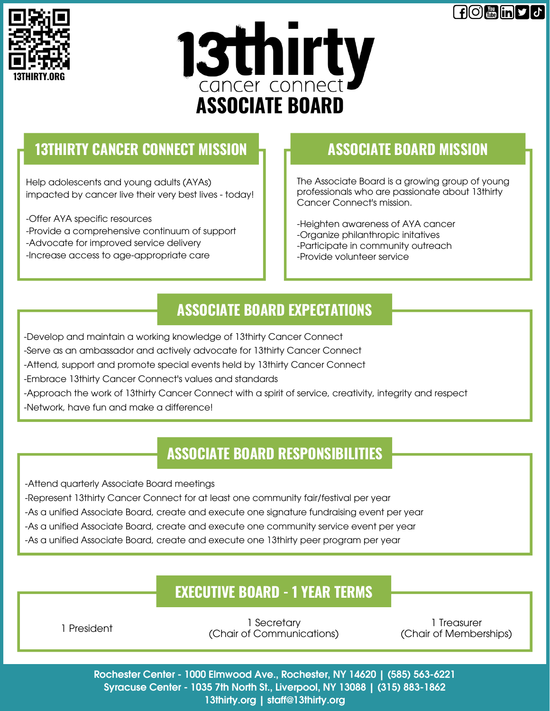**FIO - in DI** J





# **13THIRTY CANCER CONNECT MISSION ASSOCIATE BOARD MISSION**

Help adolescents and young adults (AYAs) impacted by cancer live their very best lives - today!

- -Offer AYA specific resources
- -Provide a comprehensive continuum of support
- -Advocate for improved service delivery
- -Increase access to age-appropriate care

The Associate Board is a growing group of young professionals who are passionate about 13thirty Cancer Connect's mission.

-Heighten awareness of AYA cancer -Organize philanthropic initatives -Participate in community outreach -Provide volunteer service

## **ASSOCIATE BOARD EXPECTATIONS**

-Develop and maintain a working knowledge of 13thirty Cancer Connect

- -Serve as an ambassador and actively advocate for 13thirty Cancer Connect
- -Attend, support and promote special events held by 13thirty Cancer Connect
- -Embrace 13thirty Cancer Connect's values and standards

-Approach the work of 13thirty Cancer Connect with a spirit of service, creativity, integrity and respect

-Network, have fun and make a difference!

# **ASSOCIATE BOARD RESPONSIBILITIES**

- -Attend quarterly Associate Board meetings
- -Represent 13thirty Cancer Connect for at least one community fair/festival per year
- -As a unified Associate Board, create and execute one signature fundraising event per year
- -As a unified Associate Board, create and execute one community service event per year
- -As a unified Associate Board, create and execute one 13thirty peer program per year

## **EXECUTIVE BOARD - 1 YEAR TERMS**

1 President

1 Secretary (Chair of Communications)

1 Treasurer (Chair of Memberships)

Rochester Center - 1000 Elmwood Ave., Rochester, NY 14620 | (585) 563-6221 Syracuse Center - 1035 7th North St., Liverpool, NY 13088 | (315) 883-1862 13thirty.org | staff@13thirty.org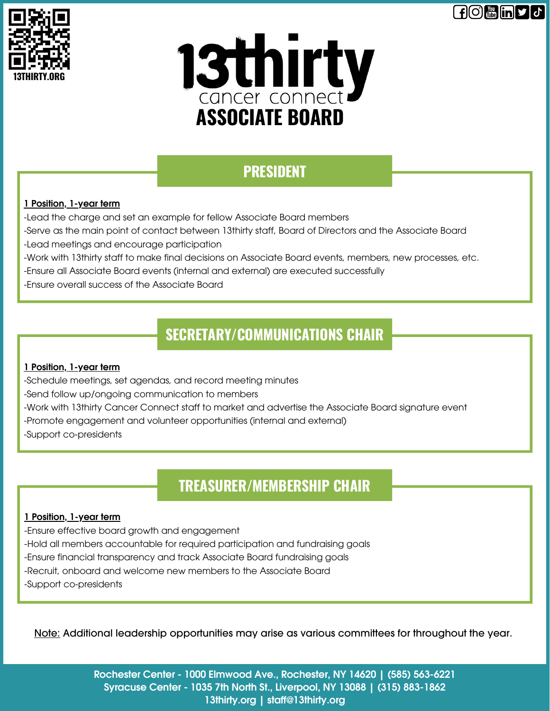





# **PRESIDENT**

### 1 Position, 1-year term

-Lead the charge and set an example for fellow Associate Board members

-Serve as the main point of contact between 13thirty staff, Board of Directors and the Associate Board

- -Lead meetings and encourage participation
- -Work with 13thirty staff to make final decisions on Associate Board events, members, new processes, etc.

-Ensure all Associate Board events (internal and external) are executed successfully

-Ensure overall success of the Associate Board

# **SECRETARY/COMMUNICATIONS CHAIR**

#### 1 Position, 1-year term

-Schedule meetings, set agendas, and record meeting minutes

-Send follow up/ongoing communication to members

-Work with 13thirty Cancer Connect staff to market and advertise the Associate Board signature event

- -Promote engagement and volunteer opportunities (internal and external)
- -Support co-presidents

## **TREASURER/MEMBERSHIP CHAIR**

#### 1 Position, 1-year term

-Ensure effective board growth and engagement

-Hold all members accountable for required participation and fundraising goals

- -Ensure financial transparency and track Associate Board fundraising goals
- -Recruit, onboard and welcome new members to the Associate Board
- -Support co-presidents

Note: Additional leadership opportunities may arise as various committees for throughout the year.

Rochester Center - 1000 Elmwood Ave., Rochester, NY 14620 | (585) 563-6221 Syracuse Center - 1035 7th North St., Liverpool, NY 13088 | (315) 883-1862 13thirty.org | staff@13thirty.org